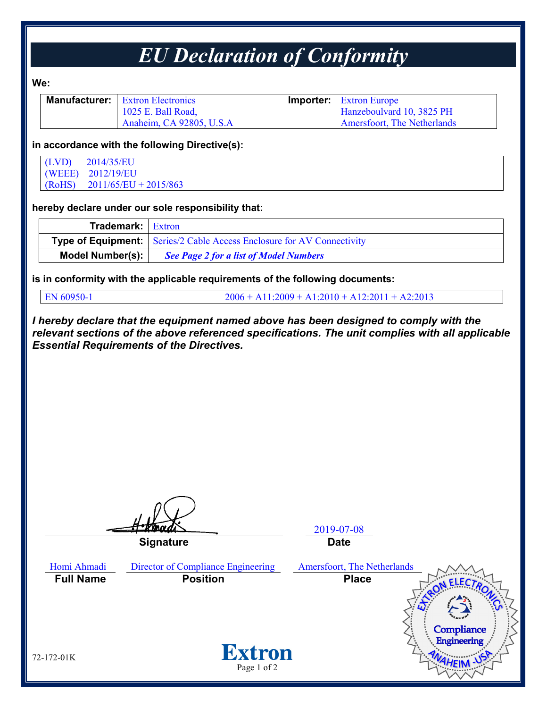## *EU Declaration of Conformity*

**We:**

| <b>Manufacturer:</b> Extron Electronics | <b>Importer:</b> Extron Europe     |
|-----------------------------------------|------------------------------------|
| 1025 E. Ball Road,                      | Hanzeboulvard 10, 3825 PH          |
| Anaheim, CA 92805, U.S.A                | <b>Amersfoort, The Netherlands</b> |

#### **in accordance with the following Directive(s):**

(LVD) 2014/35/EU (WEEE) 2012/19/EU (RoHS) 2011/65/EU + 2015/863

#### **hereby declare under our sole responsibility that:**

| <b>Trademark:</b> Extron |                                                                               |  |
|--------------------------|-------------------------------------------------------------------------------|--|
|                          | <b>Type of Equipment:</b> Series/2 Cable Access Enclosure for AV Connectivity |  |
| Model Number(s):         | <b>See Page 2 for a list of Model Numbers</b>                                 |  |

**is in conformity with the applicable requirements of the following documents:**

EN 60950-1 2006 + A11:2009 + A1:2010 + A12:2011 + A2:2013

*I hereby declare that the equipment named above has been designed to comply with the relevant sections of the above referenced specifications. The unit complies with all applicable Essential Requirements of the Directives.*

2019-07-08 **Signature Date** Homi Ahmadi Director of Compliance Engineering Amersfoort, The Netherlands **Full Name Position Place**Compliance Engineering **Extron** 72-172-01K Page 1 of 2